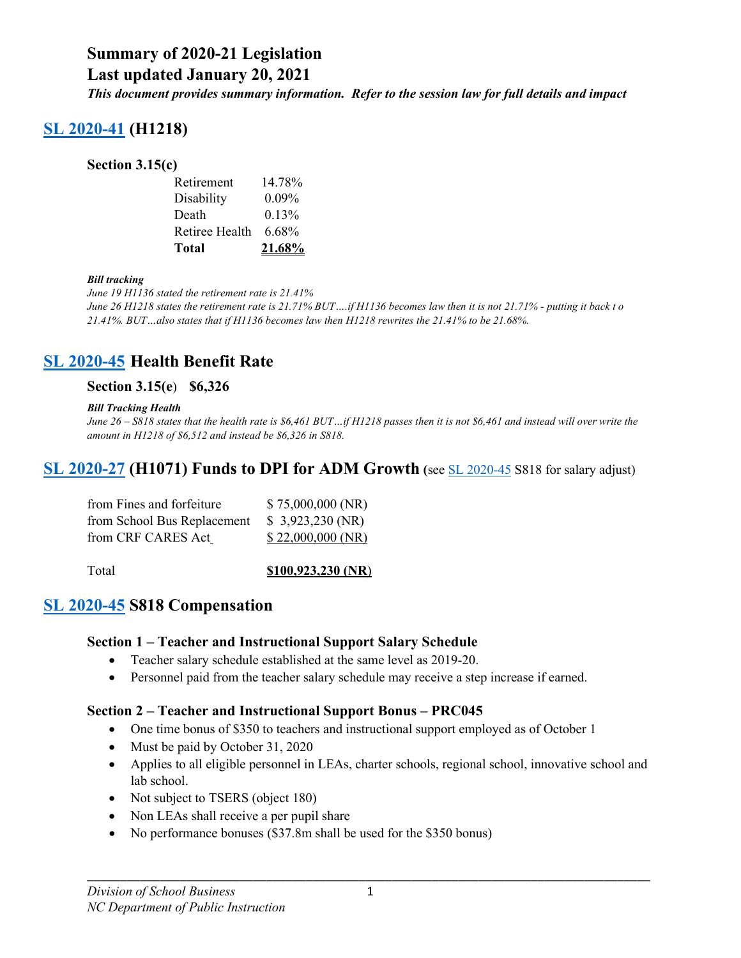**Last updated January 20, 2021**

*This document provides summary information. Refer to the session law for full details and impact*

# **[SL 2020-41](https://www.ncleg.gov/Sessions/2019/Bills/House/PDF/H1218v5.pdf) (H1218)**

#### **Section 3.15(c)**

| Retirement     | 14.78%   |
|----------------|----------|
| Disability     | $0.09\%$ |
| Death          | 0.13%    |
| Retiree Health | 6.68%    |
| Total          | 21.68%   |

#### *Bill tracking*

*June 19 H1136 stated the retirement rate is 21.41% June 26 H1218 states the retirement rate is 21.71% BUT….if H1136 becomes law then it is not 21.71% - putting it back t o 21.41%. BUT…also states that if H1136 becomes law then H1218 rewrites the 21.41% to be 21.68%.*

## **[SL 2020-45](https://www.ncleg.gov/Sessions/2019/Bills/Senate/PDF/S818v5.pdf) Health Benefit Rate**

#### **Section 3.15(e**) **\$6,326**

#### *Bill Tracking Health*

*June 26 – S818 states that the health rate is \$6,461 BUT…if H1218 passes then it is not \$6,461 and instead will over write the amount in H1218 of \$6,512 and instead be \$6,326 in S818.*

## **[SL 2020-27](https://www.ncleg.gov/BillLookUp/2019/H1071) (H1071) Funds to DPI for ADM Growth (**see [SL 2020-45](https://www.ncleg.gov/Sessions/2019/Bills/Senate/PDF/S818v5.pdf) S818 for salary adjust)

| from Fines and forfeiture   | \$75,000,000(NR)  |
|-----------------------------|-------------------|
| from School Bus Replacement | \$3,923,230 (NR)  |
| from CRF CARES Act          | \$22,000,000 (NR) |

#### Total **\$100,923,230 (NR**)

## **[SL 2020-45](https://www.ncleg.gov/Sessions/2019/Bills/Senate/PDF/S818v5.pdf) S818 Compensation**

#### **Section 1 – Teacher and Instructional Support Salary Schedule**

- Teacher salary schedule established at the same level as 2019-20.
- Personnel paid from the teacher salary schedule may receive a step increase if earned.

#### **Section 2 – Teacher and Instructional Support Bonus – PRC045**

- One time bonus of \$350 to teachers and instructional support employed as of October 1
- Must be paid by October 31, 2020
- Applies to all eligible personnel in LEAs, charter schools, regional school, innovative school and lab school.
- Not subject to TSERS (object 180)
- Non LEAs shall receive a per pupil share
- No performance bonuses (\$37.8m shall be used for the \$350 bonus)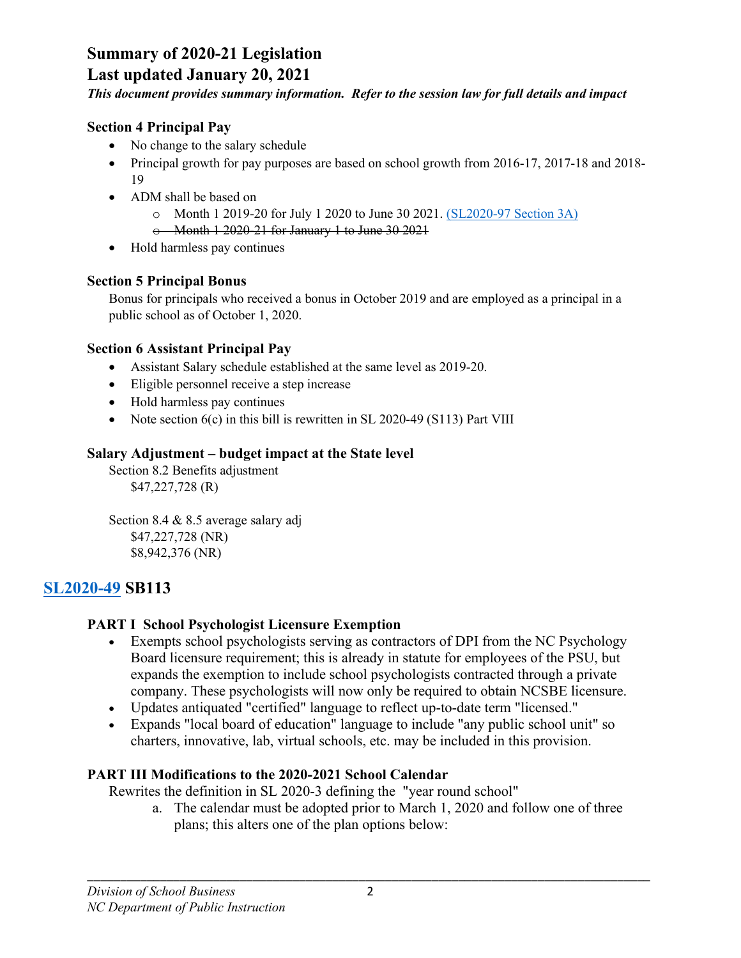## **Last updated January 20, 2021**

*This document provides summary information. Refer to the session law for full details and impact*

#### **Section 4 Principal Pay**

- No change to the salary schedule
- Principal growth for pay purposes are based on school growth from 2016-17, 2017-18 and 2018-19
- ADM shall be based on
	- o Month 1 2019-20 for July 1 2020 to June 30 2021. [\(SL2020-97 Section 3A\)](https://www.ncleg.gov/EnactedLegislation/SessionLaws/HTML/2019-2020/SL2020-97.html#page=35)
	- o Month 1 2020-21 for January 1 to June 30 2021
- Hold harmless pay continues

## **Section 5 Principal Bonus**

Bonus for principals who received a bonus in October 2019 and are employed as a principal in a public school as of October 1, 2020.

## **Section 6 Assistant Principal Pay**

- Assistant Salary schedule established at the same level as 2019-20.
- Eligible personnel receive a step increase
- Hold harmless pay continues
- Note section  $6(c)$  in this bill is rewritten in SL 2020-49 (S113) Part VIII

## **Salary Adjustment – budget impact at the State level**

Section 8.2 Benefits adjustment \$47,227,728 (R)

Section 8.4 & 8.5 average salary adj \$47,227,728 (NR) \$8,942,376 (NR)

# **[SL2020-49](https://www.ncleg.gov/Sessions/2019/Bills/Senate/PDF/S113v5.pdf) SB113**

## **PART I School Psychologist Licensure Exemption**

- Exempts school psychologists serving as contractors of DPI from the NC Psychology Board licensure requirement; this is already in statute for employees of the PSU, but expands the exemption to include school psychologists contracted through a private company. These psychologists will now only be required to obtain NCSBE licensure.
- Updates antiquated "certified" language to reflect up-to-date term "licensed."
- Expands "local board of education" language to include "any public school unit" so charters, innovative, lab, virtual schools, etc. may be included in this provision.

## **PART III Modifications to the 2020-2021 School Calendar**

Rewrites the definition in SL 2020-3 defining the "year round school"

a. The calendar must be adopted prior to March 1, 2020 and follow one of three plans; this alters one of the plan options below: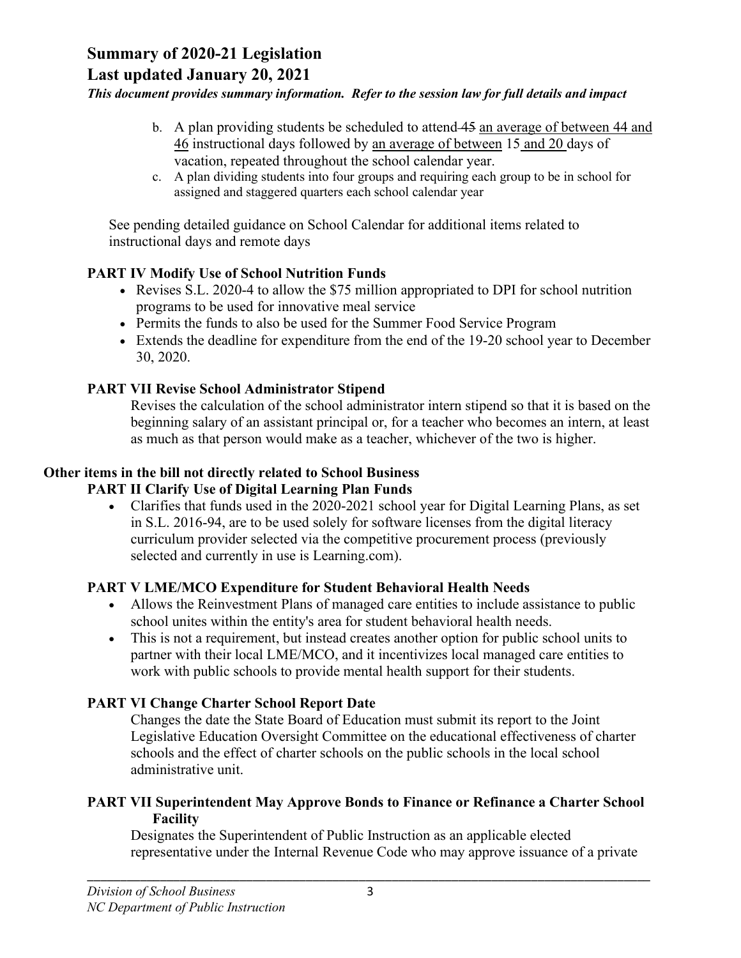## **Last updated January 20, 2021**

#### *This document provides summary information. Refer to the session law for full details and impact*

- b. A plan providing students be scheduled to attend 45 an average of between 44 and 46 instructional days followed by an average of between 15 and 20 days of vacation, repeated throughout the school calendar year.
- c. A plan dividing students into four groups and requiring each group to be in school for assigned and staggered quarters each school calendar year

See pending detailed guidance on School Calendar for additional items related to instructional days and remote days

#### **PART IV Modify Use of School Nutrition Funds**

- Revises S.L. 2020-4 to allow the \$75 million appropriated to DPI for school nutrition programs to be used for innovative meal service
- Permits the funds to also be used for the Summer Food Service Program
- Extends the deadline for expenditure from the end of the 19-20 school year to December 30, 2020.

## **PART VII Revise School Administrator Stipend**

Revises the calculation of the school administrator intern stipend so that it is based on the beginning salary of an assistant principal or, for a teacher who becomes an intern, at least as much as that person would make as a teacher, whichever of the two is higher.

#### **Other items in the bill not directly related to School Business**

#### **PART II Clarify Use of Digital Learning Plan Funds**

• Clarifies that funds used in the 2020-2021 school year for Digital Learning Plans, as set in S.L. 2016-94, are to be used solely for software licenses from the digital literacy curriculum provider selected via the competitive procurement process (previously selected and currently in use is Learning.com).

#### **PART V LME/MCO Expenditure for Student Behavioral Health Needs**

- Allows the Reinvestment Plans of managed care entities to include assistance to public school unites within the entity's area for student behavioral health needs.
- This is not a requirement, but instead creates another option for public school units to partner with their local LME/MCO, and it incentivizes local managed care entities to work with public schools to provide mental health support for their students.

#### **PART VI Change Charter School Report Date**

Changes the date the State Board of Education must submit its report to the Joint Legislative Education Oversight Committee on the educational effectiveness of charter schools and the effect of charter schools on the public schools in the local school administrative unit.

#### **PART VII Superintendent May Approve Bonds to Finance or Refinance a Charter School Facility**

Designates the Superintendent of Public Instruction as an applicable elected representative under the Internal Revenue Code who may approve issuance of a private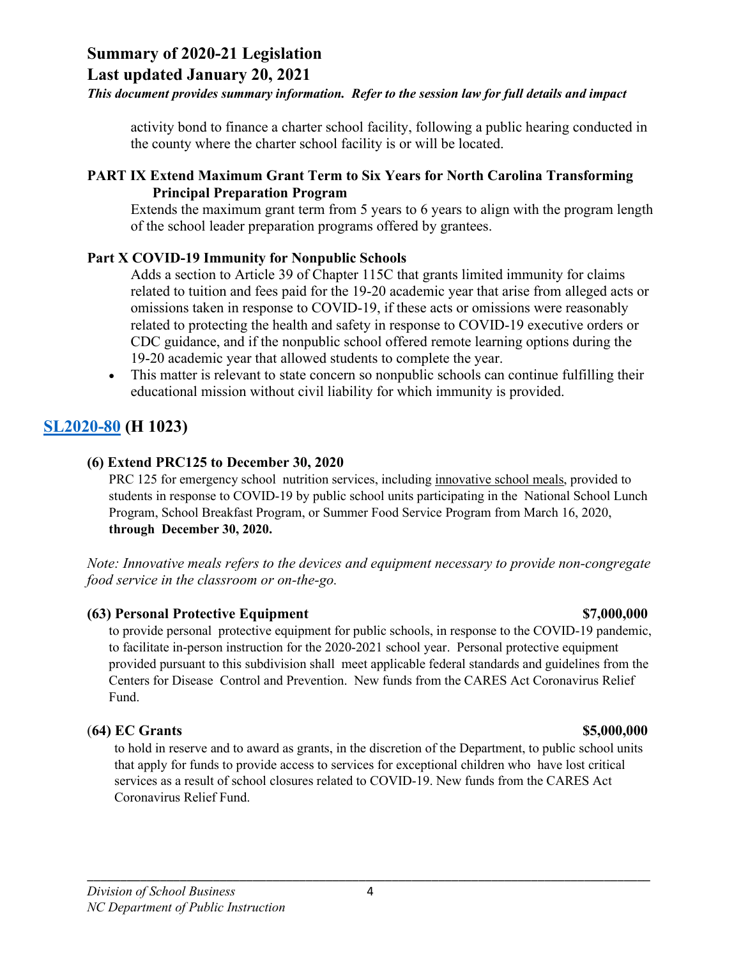## **Last updated January 20, 2021**

#### *This document provides summary information. Refer to the session law for full details and impact*

activity bond to finance a charter school facility, following a public hearing conducted in the county where the charter school facility is or will be located.

#### **PART IX Extend Maximum Grant Term to Six Years for North Carolina Transforming Principal Preparation Program**

Extends the maximum grant term from 5 years to 6 years to align with the program length of the school leader preparation programs offered by grantees.

#### **Part X COVID-19 Immunity for Nonpublic Schools**

Adds a section to Article 39 of Chapter 115C that grants limited immunity for claims related to tuition and fees paid for the 19-20 academic year that arise from alleged acts or omissions taken in response to COVID-19, if these acts or omissions were reasonably related to protecting the health and safety in response to COVID-19 executive orders or CDC guidance, and if the nonpublic school offered remote learning options during the 19-20 academic year that allowed students to complete the year.

• This matter is relevant to state concern so nonpublic schools can continue fulfilling their educational mission without civil liability for which immunity is provided.

## **[SL2020-80](https://www.ncleg.gov/Sessions/2019/Bills/House/PDF/H1023v7.pdf) (H 1023)**

#### **(6) Extend PRC125 to December 30, 2020**

PRC 125 for emergency school nutrition services, including innovative school meals, provided to students in response to COVID-19 by public school units participating in the National School Lunch Program, School Breakfast Program, or Summer Food Service Program from March 16, 2020, **through December 30, 2020.** 

*Note: Innovative meals refers to the devices and equipment necessary to provide non-congregate food service in the classroom or on-the-go.*

#### **(63) Personal Protective Equipment \$7,000,000**

to provide personal protective equipment for public schools, in response to the COVID-19 pandemic, to facilitate in-person instruction for the 2020-2021 school year. Personal protective equipment provided pursuant to this subdivision shall meet applicable federal standards and guidelines from the Centers for Disease Control and Prevention. New funds from the CARES Act Coronavirus Relief Fund.

#### (**64) EC Grants \$5,000,000**

to hold in reserve and to award as grants, in the discretion of the Department, to public school units that apply for funds to provide access to services for exceptional children who have lost critical services as a result of school closures related to COVID-19. New funds from the CARES Act Coronavirus Relief Fund.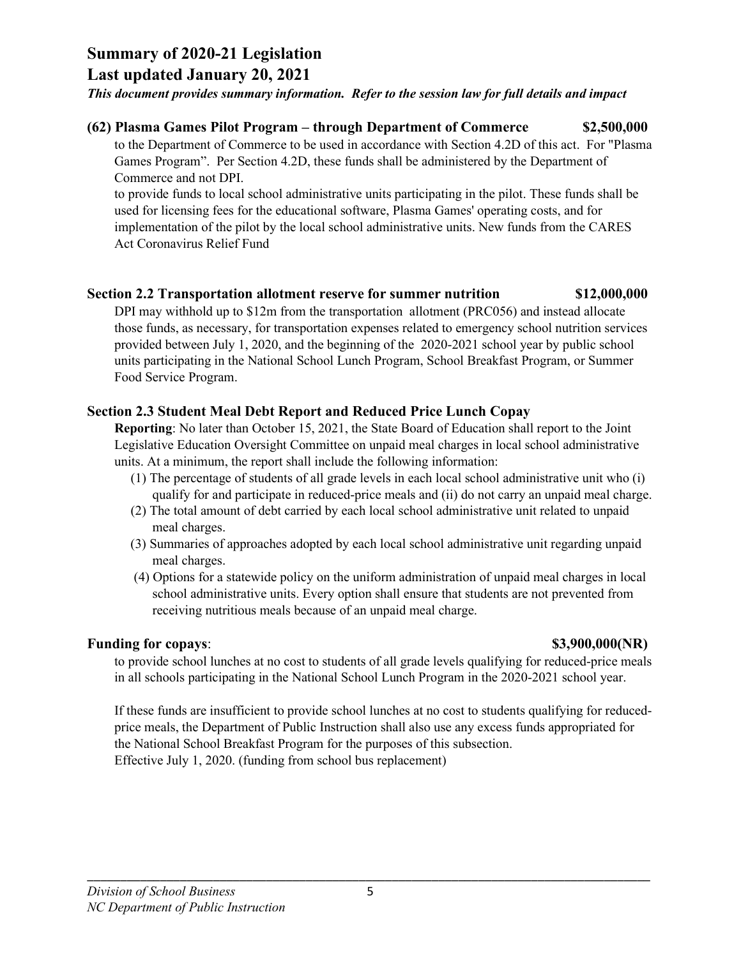**Last updated January 20, 2021**

#### *This document provides summary information. Refer to the session law for full details and impact*

#### **(62) Plasma Games Pilot Program – through Department of Commerce \$2,500,000**

to the Department of Commerce to be used in accordance with Section 4.2D of this act. For "Plasma Games Program". Per Section 4.2D, these funds shall be administered by the Department of Commerce and not DPI.

to provide funds to local school administrative units participating in the pilot. These funds shall be used for licensing fees for the educational software, Plasma Games' operating costs, and for implementation of the pilot by the local school administrative units. New funds from the CARES Act Coronavirus Relief Fund

#### **Section 2.2 Transportation allotment reserve for summer nutrition \$12,000,000**

DPI may withhold up to \$12m from the transportation allotment (PRC056) and instead allocate those funds, as necessary, for transportation expenses related to emergency school nutrition services provided between July 1, 2020, and the beginning of the 2020-2021 school year by public school units participating in the National School Lunch Program, School Breakfast Program, or Summer Food Service Program.

#### **Section 2.3 Student Meal Debt Report and Reduced Price Lunch Copay**

**Reporting**: No later than October 15, 2021, the State Board of Education shall report to the Joint Legislative Education Oversight Committee on unpaid meal charges in local school administrative units. At a minimum, the report shall include the following information:

- (1) The percentage of students of all grade levels in each local school administrative unit who (i) qualify for and participate in reduced-price meals and (ii) do not carry an unpaid meal charge.
- (2) The total amount of debt carried by each local school administrative unit related to unpaid meal charges.
- (3) Summaries of approaches adopted by each local school administrative unit regarding unpaid meal charges.
- (4) Options for a statewide policy on the uniform administration of unpaid meal charges in local school administrative units. Every option shall ensure that students are not prevented from receiving nutritious meals because of an unpaid meal charge.

#### **Funding for copays: \$3,900,000(NR)**

to provide school lunches at no cost to students of all grade levels qualifying for reduced-price meals in all schools participating in the National School Lunch Program in the 2020-2021 school year.

If these funds are insufficient to provide school lunches at no cost to students qualifying for reducedprice meals, the Department of Public Instruction shall also use any excess funds appropriated for the National School Breakfast Program for the purposes of this subsection. Effective July 1, 2020. (funding from school bus replacement)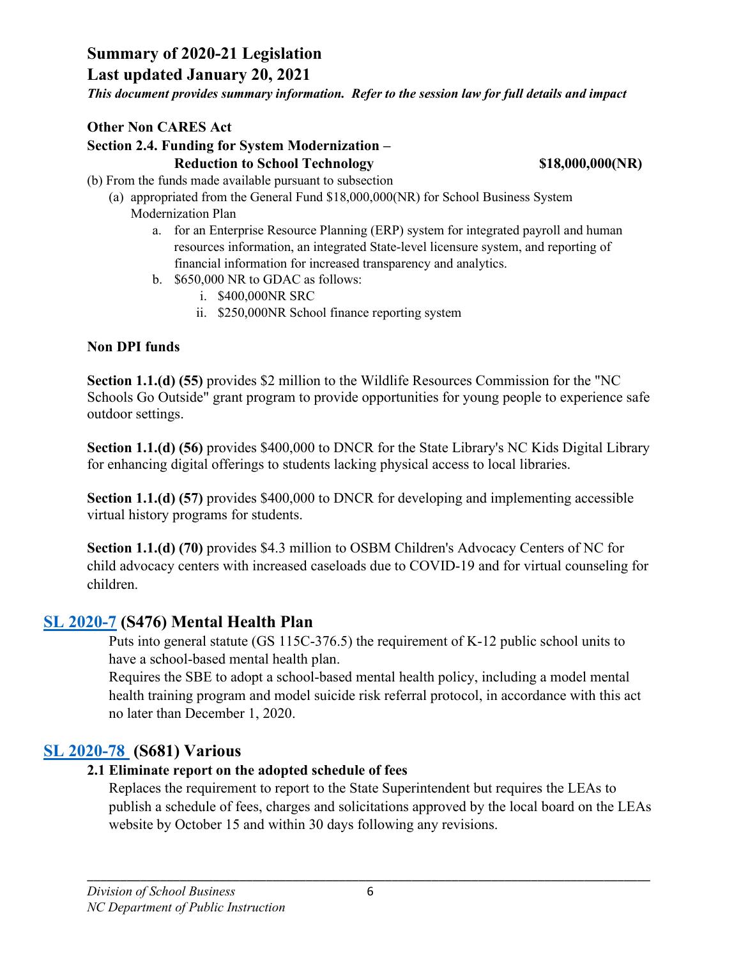**Last updated January 20, 2021**

*This document provides summary information. Refer to the session law for full details and impact*

#### **Other Non CARES Act**

#### **Section 2.4. Funding for System Modernization – Reduction to School Technology \$18,000,000(NR)**

- (b) From the funds made available pursuant to subsection
	- (a) appropriated from the General Fund \$18,000,000(NR) for School Business System Modernization Plan
		- a. for an Enterprise Resource Planning (ERP) system for integrated payroll and human resources information, an integrated State-level licensure system, and reporting of financial information for increased transparency and analytics.
		- b. \$650,000 NR to GDAC as follows:
			- i. \$400,000NR SRC
			- ii. \$250,000NR School finance reporting system

#### **Non DPI funds**

**Section 1.1.(d) (55)** provides \$2 million to the Wildlife Resources Commission for the "NC Schools Go Outside" grant program to provide opportunities for young people to experience safe outdoor settings.

**Section 1.1.(d) (56)** provides \$400,000 to DNCR for the State Library's NC Kids Digital Library for enhancing digital offerings to students lacking physical access to local libraries.

**Section 1.1.(d) (57)** provides \$400,000 to DNCR for developing and implementing accessible virtual history programs for students.

**Section 1.1.(d) (70)** provides \$4.3 million to OSBM Children's Advocacy Centers of NC for child advocacy centers with increased caseloads due to COVID-19 and for virtual counseling for children.

## **SL [2020-7](https://www.ncleg.gov/Sessions/2019/Bills/Senate/PDF/S476v6.pdf) (S476) Mental Health Plan**

Puts into general statute (GS 115C-376.5) the requirement of K-12 public school units to have a school-based mental health plan.

Requires the SBE to adopt a school-based mental health policy, including a model mental health training program and model suicide risk referral protocol, in accordance with this act no later than December 1, 2020.

## **SL [2020-78](https://www.ncleg.gov/Sessions/2019/Bills/Senate/PDF/S681v6.pdf) (S681) Various**

#### **2.1 Eliminate report on the adopted schedule of fees**

Replaces the requirement to report to the State Superintendent but requires the LEAs to publish a schedule of fees, charges and solicitations approved by the local board on the LEAs website by October 15 and within 30 days following any revisions.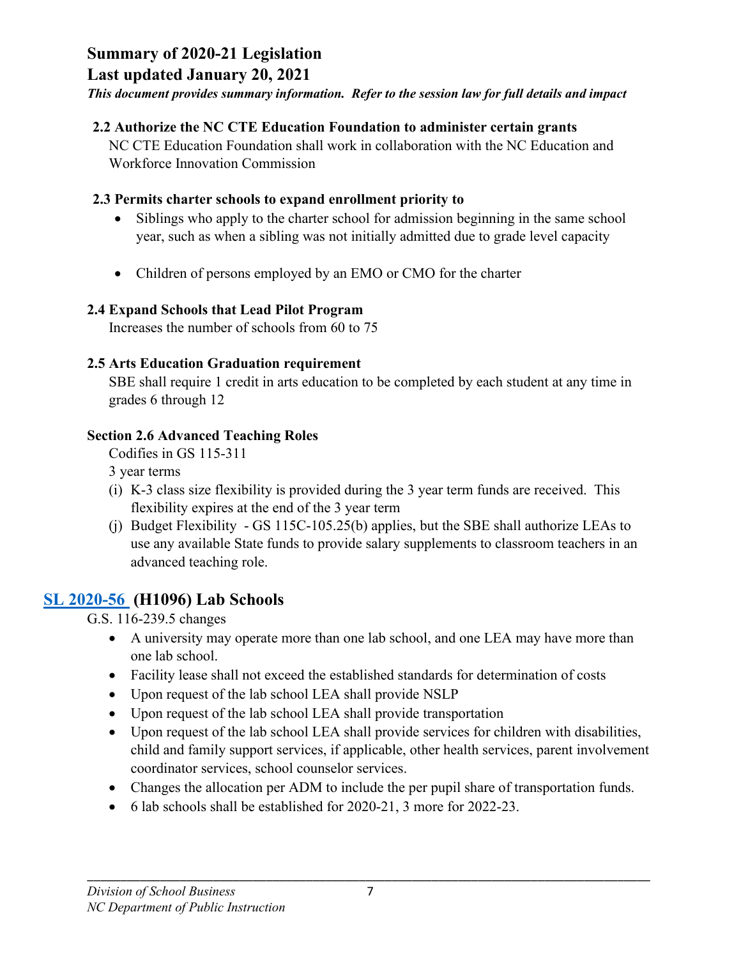## **Last updated January 20, 2021**

*This document provides summary information. Refer to the session law for full details and impact*

## **2.2 Authorize the NC CTE Education Foundation to administer certain grants**

NC CTE Education Foundation shall work in collaboration with the NC Education and Workforce Innovation Commission

## **2.3 Permits charter schools to expand enrollment priority to**

- Siblings who apply to the charter school for admission beginning in the same school year, such as when a sibling was not initially admitted due to grade level capacity
- Children of persons employed by an EMO or CMO for the charter

## **2.4 Expand Schools that Lead Pilot Program**

Increases the number of schools from 60 to 75

## **2.5 Arts Education Graduation requirement**

SBE shall require 1 credit in arts education to be completed by each student at any time in grades 6 through 12

## **Section 2.6 Advanced Teaching Roles**

Codifies in GS 115-311

3 year terms

- (i) K-3 class size flexibility is provided during the 3 year term funds are received. This flexibility expires at the end of the 3 year term
- (j) Budget Flexibility GS 115C-105.25(b) applies, but the SBE shall authorize LEAs to use any available State funds to provide salary supplements to classroom teachers in an advanced teaching role.

# **SL [2020-56](https://www.ncleg.gov/Sessions/2019/Bills/House/PDF/H1096v7.pdf) (H1096) Lab Schools**

G.S. 116-239.5 changes

- A university may operate more than one lab school, and one LEA may have more than one lab school.
- Facility lease shall not exceed the established standards for determination of costs
- Upon request of the lab school LEA shall provide NSLP
- Upon request of the lab school LEA shall provide transportation
- Upon request of the lab school LEA shall provide services for children with disabilities, child and family support services, if applicable, other health services, parent involvement coordinator services, school counselor services.
- Changes the allocation per ADM to include the per pupil share of transportation funds.
- 6 lab schools shall be established for 2020-21, 3 more for 2022-23.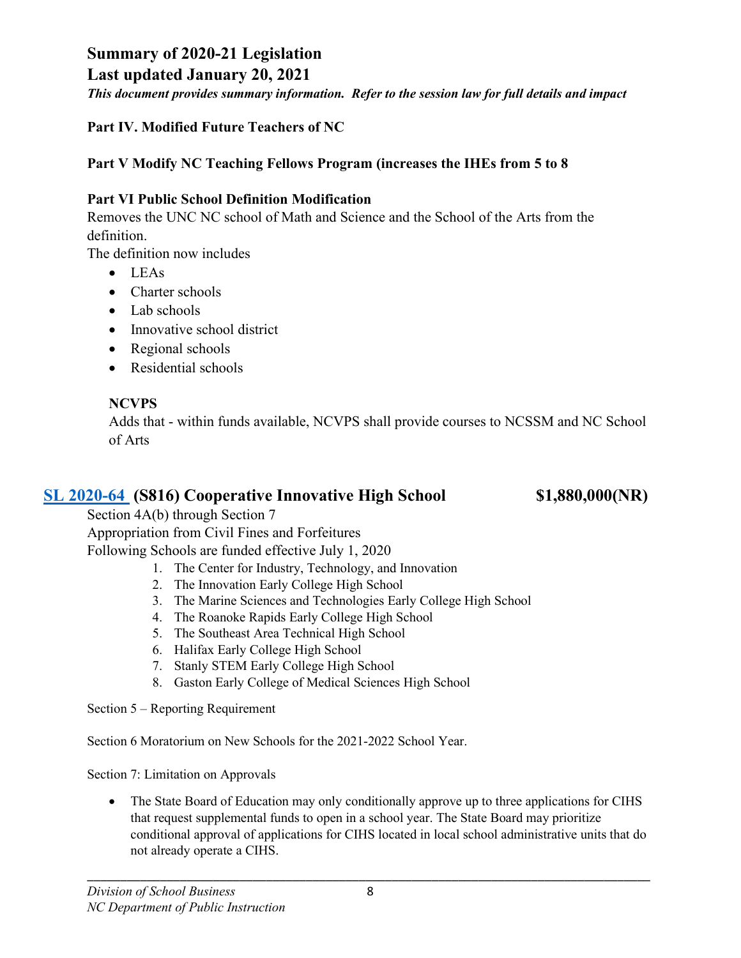## **Last updated January 20, 2021**

*This document provides summary information. Refer to the session law for full details and impact*

## **Part IV. Modified Future Teachers of NC**

## **Part V Modify NC Teaching Fellows Program (increases the IHEs from 5 to 8**

## **Part VI Public School Definition Modification**

Removes the UNC NC school of Math and Science and the School of the Arts from the definition.

The definition now includes

- LEAs
- Charter schools
- Lab schools
- Innovative school district
- Regional schools
- Residential schools

## **NCVPS**

Adds that - within funds available, NCVPS shall provide courses to NCSSM and NC School of Arts

## **SL [2020-64](https://www.ncleg.gov/Sessions/2019/Bills/Senate/PDF/S816v5.pdf) (S816) Cooperative Innovative High School \$1,880,000(NR)**

Section 4A(b) through Section 7

Appropriation from Civil Fines and Forfeitures

Following Schools are funded effective July 1, 2020

- 1. The Center for Industry, Technology, and Innovation
- 2. The Innovation Early College High School
- 3. The Marine Sciences and Technologies Early College High School
- 4. The Roanoke Rapids Early College High School
- 5. The Southeast Area Technical High School
- 6. Halifax Early College High School
- 7. Stanly STEM Early College High School
- 8. Gaston Early College of Medical Sciences High School

Section 5 – Reporting Requirement

Section 6 Moratorium on New Schools for the 2021-2022 School Year.

Section 7: Limitation on Approvals

• The State Board of Education may only conditionally approve up to three applications for CIHS that request supplemental funds to open in a school year. The State Board may prioritize conditional approval of applications for CIHS located in local school administrative units that do not already operate a CIHS.